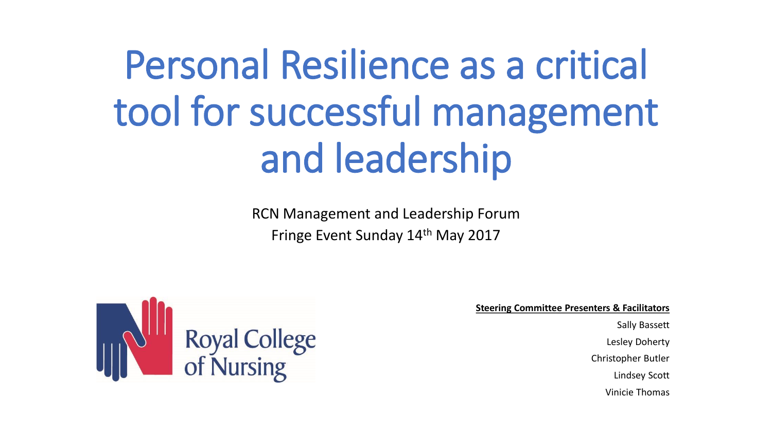# Personal Resilience as a critical tool for successful management and leadership

RCN Management and Leadership Forum Fringe Event Sunday 14th May 2017



**Steering Committee Presenters & Facilitators**

Sally Bassett Lesley Doherty Christopher Butler Lindsey Scott Vinicie Thomas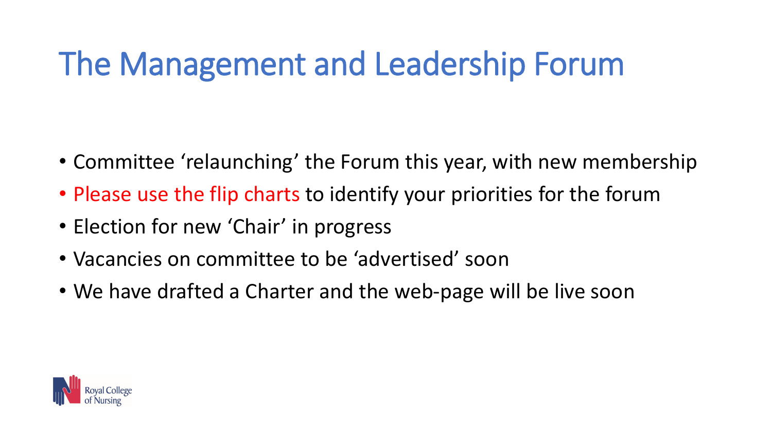# The Management and Leadership Forum

- Committee 'relaunching' the Forum this year, with new membership
- Please use the flip charts to identify your priorities for the forum
- Election for new 'Chair' in progress
- Vacancies on committee to be 'advertised' soon
- We have drafted a Charter and the web-page will be live soon

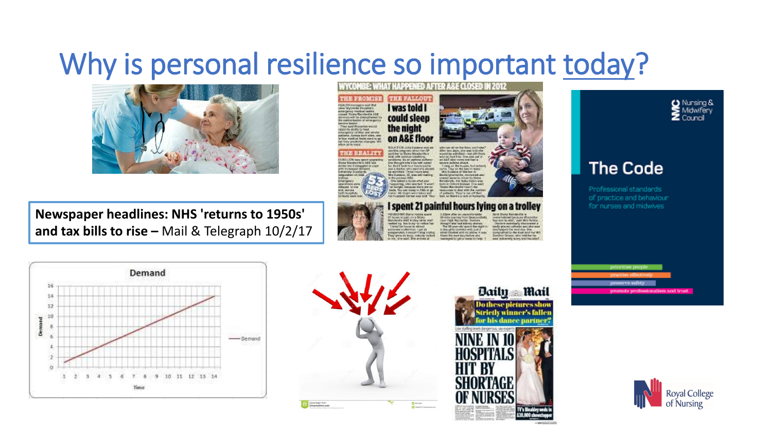#### Why is personal resilience so important today?



**Newspaper headlines: NHS 'returns to 1950s' and tax bills to rise –** Mail & Telegraph 10/2/17 WYCOMBE: WHAT HAPPENED AFTER ASE CLOSED **THE FALLOUT HE PRODITSE** was told merjanny medical samles<br>Josed Triste Maridentle AAD could sleep the night on A&E floor

Longhani shan far GP<br>CD Story Richderffe's **HE REALITY VISCLICA NAVIONATIV** tion Manufacture 2004 for during the world are **CALIFORNIA AND AND** 

Thousan be guest - on a Showe-<br>anniversity with the first value what

undered by "books a profit to ending by on is allowed

like her days, she use totd she would be admitted - but still two with incident filter. Give ween part is a had tons more ship like in

**ALL Exchange** dauck, titl folls Adab was

I spent 21 painful hours lying on a trolley

with blattle

1.00pm play an uncontrolate

and Fach Wynterman Sector



#### **The Code**

Professional standards of practice and behaviour for nurses and midwives

priorities people







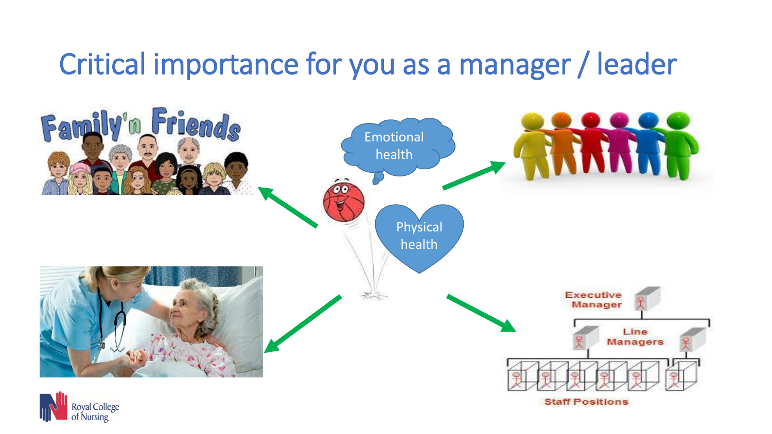### Critical importance for you as a manager / leader

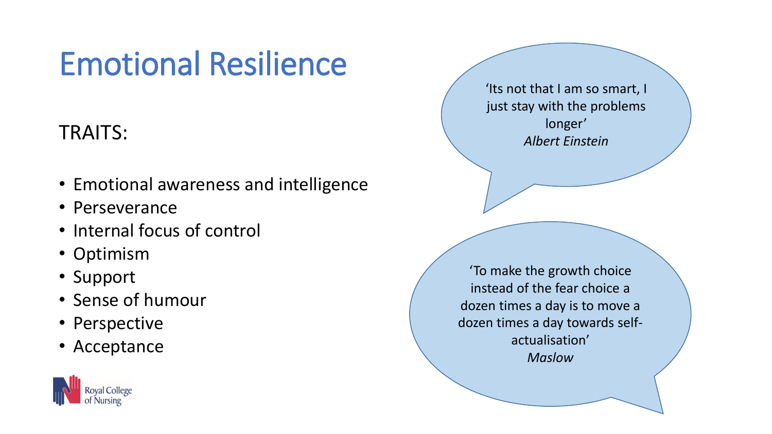# Emotional Resilience

#### TRAITS:

- Emotional awareness and intelligence
- Perseverance
- Internal focus of control
- Optimism
- Support
- Sense of humour
- Perspective
- Acceptance



'Its not that I am so smart, I just stay with the problems longer' *Albert Einstein*

'To make the growth choice instead of the fear choice a dozen times a day is to move a dozen times a day towards selfactualisation' *Maslow*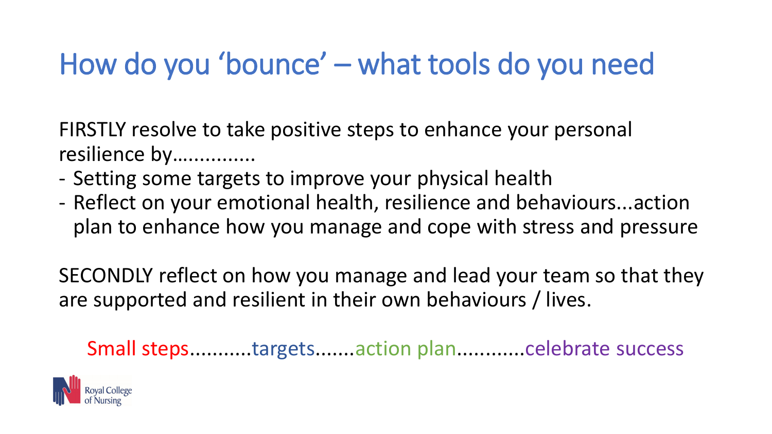### How do you 'bounce' – what tools do you need

FIRSTLY resolve to take positive steps to enhance your personal resilience by................

- Setting some targets to improve your physical health
- Reflect on your emotional health, resilience and behaviours...action plan to enhance how you manage and cope with stress and pressure

SECONDLY reflect on how you manage and lead your team so that they are supported and resilient in their own behaviours / lives.

Small steps...........targets.......action plan............celebrate success

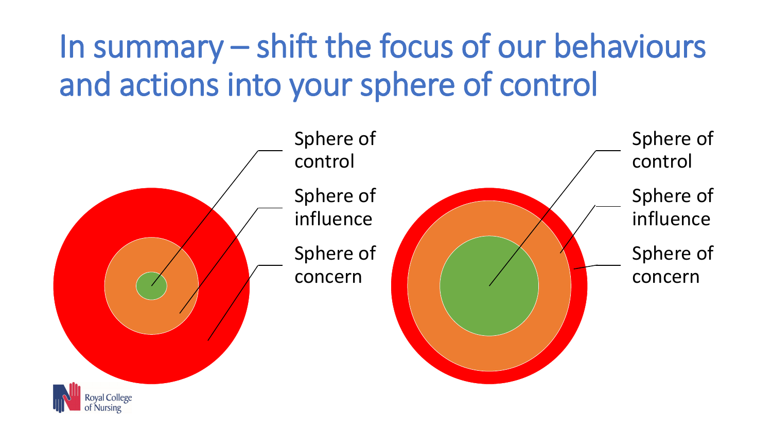# In summary – shift the focus of our behaviours and actions into your sphere of control

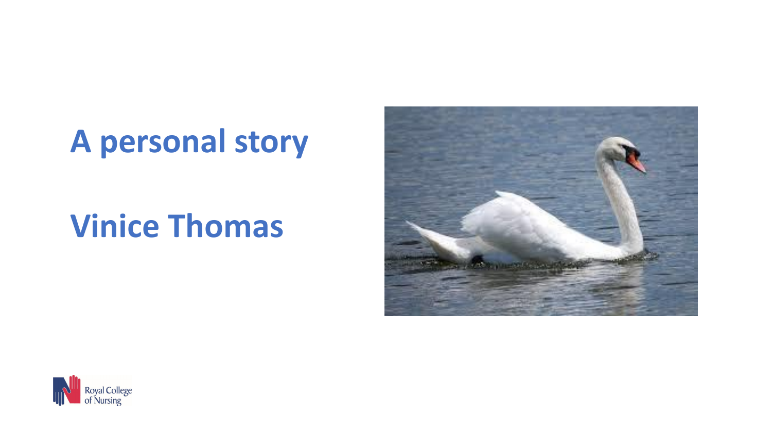# **A personal story**

# **Vinice Thomas**



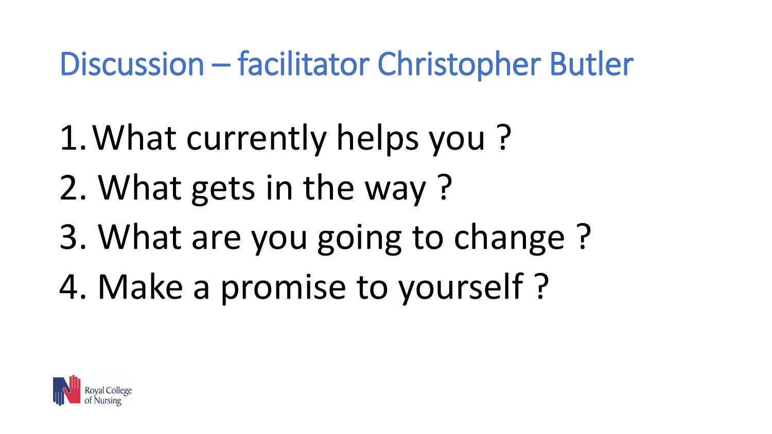# Discussion – facilitator Christopher Butler

- 1.What currently helps you ?
- 2. What gets in the way ?
- 3. What are you going to change ?
- 4. Make a promise to yourself ?

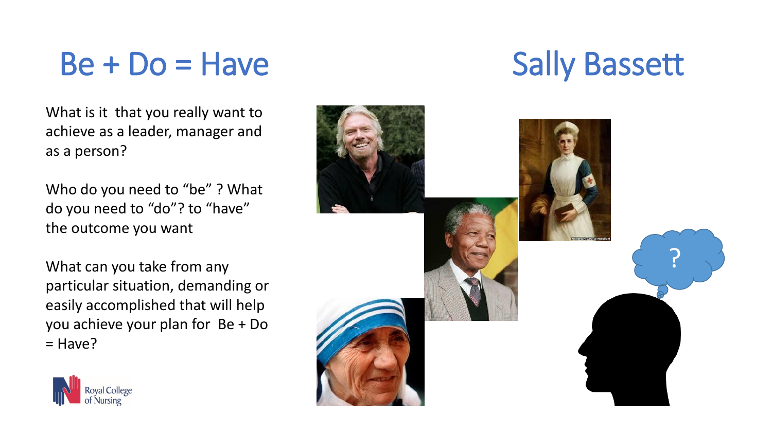$Be + Do = Have$  Sally Bassett

What is it that you really want to achieve as a leader, manager and as a person?

Who do you need to "be"? What do you need to "do"? to "have" the outcome you want

What can you take from any particular situation, demanding or easily accomplished that will help you achieve your plan for Be + Do = Have?